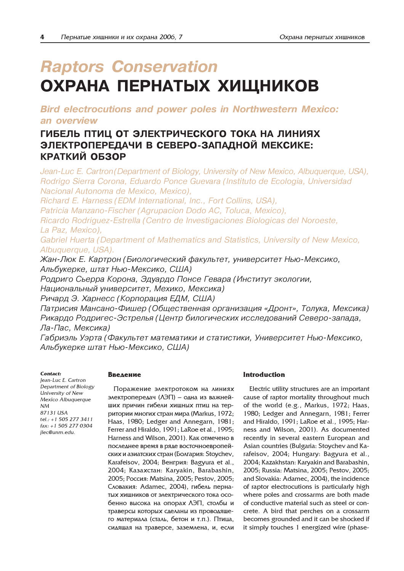# **Raptors Conservation** ОХРАНА ПЕРНАТЫХ ХИЩНИКОВ

Bird electrocutions and power poles in Northwestern Mexico: an overview

# ГИБЕЛЬ ПТИЦ ОТ ЭЛЕКТРИЧЕСКОГО ТОКА НА ЛИНИЯХ ЭЛЕКТРОПЕРЕДАЧИ В СЕВЕРО-ЗАПАДНОЙ МЕКСИКЕ: КРАТКИЙ ОБЗОР

Jean-Luc E. Cartron(Department of Biology, University of New Mexico, Albuquerque, USA), Rodrigo Sierra Corona, Eduardo Ponce Guevara (Instituto de Ecologia, Universidad Nacional Autonoma de Mexico, Mexico),

Richard E. Harness (EDM International, Inc., Fort Collins, USA),

Patricia Manzano-Fischer (Agrupacion Dodo AC, Toluca, Mexico),

Ricardo Rodriguez-Estrella (Centro de Investigaciones Biologicas del Noroeste, La Paz, Mexico),

Gabriel Huerta (Department of Mathematics and Statistics, University of New Mexico, Albuquerque, USA).

Жан-Люк Е. Картрон (Биологический факультет, университет Нью-Мексико, Альбукерке, штат Нью-Мексико, США)

Родриго Сьерра Корона, Эдуардо Понсе Гевара (Институт экологии, Национальный университет, Мехико, Мексика)

Ричард Э. Харнесс (Корпорация ЕДМ, США)

Патрисия Мансано-Фишер (Общественная организация «Дронт», Толука, Мексика) Рикардо Родригес-Эстрелья (Центр билогических исследований Северо-запада, Ла-Пас, Мексика)

Габриэль Уэрта (Факультет математики и статистики, Университет Нью-Мексико, Альбукерке штат Нью-Мексико, США)

#### Contact:

Jean-Luc E. Cartron Department of Biology University of New Mexico Albuquerque NM 87131 USA tel.: +1 505 277 3411 fax: +1 505 277 0304 jlec@unm.edu.

# **Ввеление**

Поражение электротоком на линиях электропередач (ЛЭП) – одна из важнейших причин гибели хищных птиц на территории многих стран мира (Markus, 1972; Haas, 1980; Ledger and Annegarn, 1981; Ferrer and Hiraldo, 1991; LaRoe et al., 1995; Harness and Wilson, 2001). Как отмечено в последнее время в ряде восточноевропейских и азиатских стран (Болгария: Stoychev, Karafeisov, 2004; Венгрия: Bagyura et al., 2004; Казахстан: Karyakin, Barabashin, 2005; Россия: Matsina, 2005; Pestov, 2005; Словакия: Adamec, 2004), гибель пернатых хищников от электрического тока особенно высока на опорах ЛЭП, столбы и траверсы которых сделаны из проводящего материала (сталь, бетон и т.п.). Птица, сидящая на траверсе, заземлена, и, если

# Introduction

Electric utility structures are an important cause of raptor mortality throughout much of the world (e.g., Markus, 1972; Haas, 1980; Ledger and Annegarn, 1981; Ferrer and Hiraldo, 1991; LaRoe et al., 1995; Harness and Wilson, 2001). As documented recently in several eastern European and Asian countries (Bulgaria: Stoychev and Karafeisov, 2004; Hungary: Bagyura et al., 2004; Kazakhstan: Karyakin and Barabashin, 2005; Russia: Matsina, 2005; Pestov, 2005; and Slovakia: Adamec, 2004), the incidence of raptor electrocutions is particularly high where poles and crossarms are both made of conductive material such as steel or concrete. A bird that perches on a crossarm becomes grounded and it can be shocked if it simply touches 1 energized wire (phase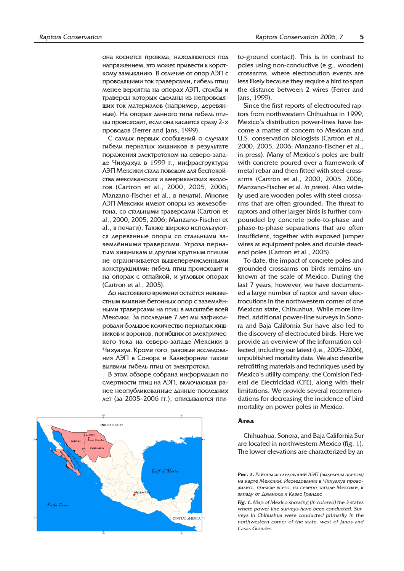она коснется провода, находящегося под напряжением, это может привести к короткому замыканию. В отличие от опор ЛЭП с проводящими ток траверсами, гибель птиц менее вероятна на опорах ЛЭП, столбы и траверсы которых сделаны из непроводящих ток материалов (например, деревянные). На опорах данного типа гибель птицы происходит, если она касается сразу 2-х проводов (Ferrer and Jans, 1999).

С самых первых сообщений о случаях гибели пернатых хищников в результате поражения электротоком на северо-западе Чихуахуа в 1999 г., инфраструктура ЛЭП Мексики стала поводом для беспокойства мексиканских и американских эколоãîâ (Cartron et al., 2000, 2005, 2006; Manzano-Fischer et al., в печати). Многие ЛЭП Мексики имеют опоры из железобетона, со стальными траверсами (Cartron et al., 2000, 2005, 2006; Manzano-Fischer et al., в печати). Также широко используются деревянные опоры со стальными заземлёнными траверсами. Угроза пернатым хищникам и другим крупным птицам не ограничивается вышеперечисленными конструкциями: гибель птиц происходит и на опорах с отпайкой, и угловых опорах (Cartron et al., 2005).

До настоящего времени остаётся неизвестным влияние бетонных опор с заземлёнными траверсами на птиц в масштабе всей Мексики. За последние 7 лет мы зафиксировали большое количество пернатых хишников и воронов, погибших от электрического тока на северо-западе Мексики в Чихуахуа. Кроме того, разовые исследования ЛЭП в Сонора и Калифорнии также выявили гибель птиц от электротока.

В этом обзоре собрана информация по смертности птиц на ЛЭП, включающая ранее неопубликованные данные последних дет (за 2005–2006 гг.), описываются пти-



to-ground contact). This is in contrast to poles using non-conductive (e.g., wooden) crossarms, where electrocution events are less likely because they require a bird to span the distance between 2 wires (Ferrer and Jans, 1999).

Since the first reports of electrocuted raptors from northwestern Chihuahua in 1999, Mexico's distribution power-lines have become a matter of concern to Mexican and U.S. conservation biologists (Cartron et al., 2000, 2005, 2006; Manzano-Fischer et al., in press). Many of Mexico's poles are built with concrete poured over a framework of metal rebar and then fitted with steel crossarms (Cartron et al., 2000, 2005, 2006; Manzano-Fischer et al. in press). Also widely used are wooden poles with steel crossarms that are often grounded. The threat to raptors and other larger birds is further compounded by concrete pole-to-phase and phase-to-phase separations that are often insufficient, together with exposed jumper wires at equipment poles and double deadend poles (Cartron et al., 2005).

To date, the impact of concrete poles and grounded crossarms on birds remains unknown at the scale of Mexico. During the last 7 years, however, we have documented a large number of raptor and raven electrocutions in the northwestern corner of one Mexican state, Chihuahua. While more limited, additional power-line surveys in Sonora and Baja California Sur have also led to the discovery of electrocuted birds. Here we provide an overview of the information collected, including our latest (i.e., 2005–2006), unpublished mortality data. We also describe retrofitting materials and techniques used by Mexico's utility company, the Comision Federal de Electricidad (CFE), along with their limitations. We provide several recommendations for decreasing the incidence of bird mortality on power poles in Mexico.

# Area

Chihuahua, Sonora, and Baja California Sur are located in northwestern Mexico (fig. 1). The lower elevations are characterized by an

**Рис. 1.** Районы исследований  $\overline{A}$ ЭП (выделены цветом) на карте Мексики. Исследования в Чихуахуа прово- $\mu$ ились прежле всего, на северо-запале Мексики, к западу от Джаноса и Казас Грандес

Fig. 1. Map of Mexico showing (in colored) the 3 states where power-line surveys have been conducted. Surveys in Chihuahua were conducted primarily in the northwestern corner of the state, west of Janos and Casas Grandes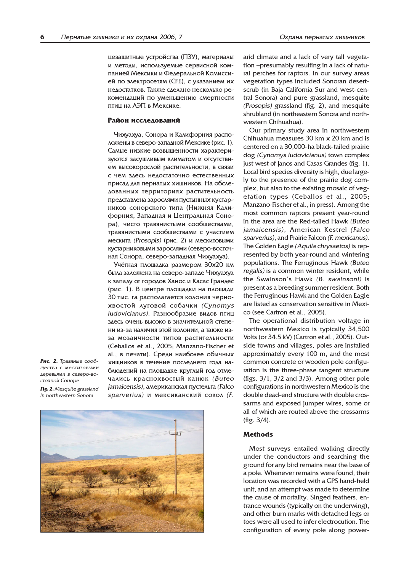цезащитные устройства (ПЗУ), материалы и методы, используемые сервисной компанией Мексики и Федеральной Комиссией по электросетям (CFE), с указанием их недостатков. Также сделано несколько рекомендаций по уменьшению смертности птиц на ЛЭП в Мексике.

#### Район исследований

Чихуахуа, Сонора и Калифорния расположены в северо-западной Мексике (рис. 1). Самые низкие возвышенности характеризуются засушливым климатом и отсутствием высокорослой растительности, в связи с чем здесь недостаточно естественных присад для пернатых хищников. На обследованных территориях растительность представлена зарослями пустынных кустарников сонорского типа (Нижняя Калифорния, Западная и Центральная Сонора), чисто травянистыми сообществами, травянистыми сообществами с участием мескита (Prosopis) (рис. 2) и мескитовыми кустарниковыми зарослями (северо-восточная Сонора, северо-западная Чихуахуа).

Учётная площадка размером 30x20 км была заложена на северо-западе Чихуахуа к западу от городов Ханос и Касас Грандес (рис. 1). В центре площадки на площади 30 тыс. га располагается колония чернохвостой луговой собачки (Cynomys ludovicianus). Разнообразие видов птиц здесь очень высоко в значительной степени из-за наличия этой колонии, а также изза мозаичности типов растительности (Ceballos et al., 2005; Manzano-Fischer et al., в печати). Среди наиболее обычных хищников в течение последнего года наблюдений на площадке круглый год отмечались краснохвостый канюк (Buteo jamaicensis), американская пустельга (Falco sparverius) и мексиканский сокол (F.

Рис. 2. Травяные сообщества с мескитовыми деревьями в северо-восточной Соноре

Fig. 2. Mesquite grassland in northeastern Sonora



arid climate and a lack of very tall vegetation –presumably resulting in a lack of natural perches for raptors. In our survey areas vegetation types included Sonoran desertscrub (in Baja California Sur and west-central Sonora) and pure grassland, mesquite (Prosopis) grassland (fig. 2), and mesquite shrubland (in northeastern Sonora and north-

western Chihuahua).

Our primary study area in northwestern Chihuahua measures 30 km x 20 km and is centered on a 30,000-ha black-tailed prairie dog (Cynomys ludovicianus) town complex just west of Janos and Casas Grandes (fig. 1). Local bird species diversity is high, due largely to the presence of the prairie dog complex, but also to the existing mosaic of vegetation types (Ceballos et al., 2005; Manzano-Fischer et al., in press). Among the most common raptors present year-round in the area are the Red-tailed Hawk (Buteo jamaicensis), American Kestrel (Falco sparverius), and Prairie Falcon (F. mexicanus). The Golden Eagle (Aquila chrysaetos) is represented by both year-round and wintering populations. The Ferruginous Hawk (Buteo regalis) is a common winter resident, while the Swainson's Hawk (B. swainsoni) is present as a breeding summer resident. Both the Ferruginous Hawk and the Golden Eagle are listed as conservation sensitive in Mexico (see Cartron et al., 2005).

The operational distribution voltage in northwestern Mexico is typically 34,500 Volts (or 34.5 kV) (Cartron et al., 2005). Outside towns and villages, poles are installed approximately every 100 m, and the most common concrete or wooden pole configuration is the three-phase tangent structure (figs. 3/1, 3/2 and 3/3). Among other pole configurations in northwestern Mexico is the double dead-end structure with double crossarms and exposed jumper wires, some or all of which are routed above the crossarms (fig. 3/4).

#### **Methods**

Most surveys entailed walking directly under the conductors and searching the ground for any bird remains near the base of a pole. Whenever remains were found, their location was recorded with a GPS hand-held unit, and an attempt was made to determine the cause of mortality. Singed feathers, entrance wounds (typically on the underwing), and other burn marks with detached legs or toes were all used to infer electrocution. The configuration of every pole along power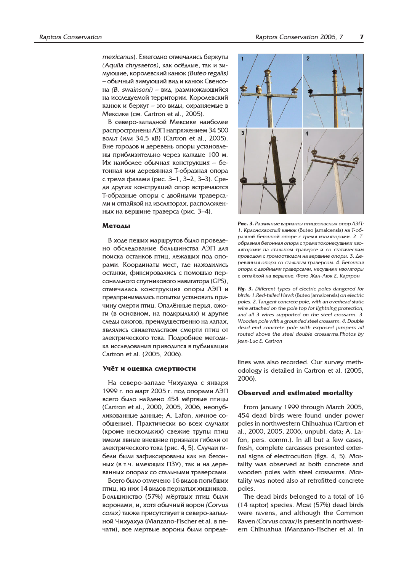mexicanus). Ежегодно отмечались беркуты (Aquila chrysaetos), как осёдлые, так и зимующие, королевский канюк (Buteo regalis) – обычный зимующий вид и канюк Свенсона (B. swainsoni) – вид, размножающийся на исследуемой территории. Королевский канюк и беркут – это виды, охраняемые в Мексике (см. Cartron et al., 2005).

В северо-западной Мексике наиболее распространены ЛЭП напряжением 34 500 вольт (или 34,5 кВ) (Cartron et al., 2005). Вне городов и деревень опоры установлены приблизительно через каждые 100 м. Их наиболее обычная конструкция – бетонная или деревянная Т-образная опора с тремя фазами (рис. 3–1, 3–2, 3–3). Среаи других конструкций опор встречаются Т-образные опоры с двойными траверсами и отпайкой на изоляторах, расположенных на вершине траверса (рис. 3–4).

#### Методы

В ходе пеших маршрутов было проведено обследование большинства ЛЭП для поиска останков птиц, лежащих под опорами. Координаты мест, где находились останки, фиксировались с помощью персонального спутникового навигатора (GPS), отмечалась конструкция опоры ЛЭП и предпринимались попытки установить причину смерти птиц. Опалённые перья, ожоги (в основном, на подкрыльях) и другие следы ожогов, преимущественно на лапах, являлись свидетельством смерти птиц от электрического тока. Подробнее методика исследования приводится в публикации Cartron et al. (2005, 2006).

#### Учёт и оценка смертности

На северо-западе Чихуахуа с января  $1999$  г. по март 2005 г. под опорами ЛЭП всего было найдено 454 мёртвые птицы (Cartron et al., 2000, 2005, 2006, неопубликованные данные; A. Lafon, личное сообщение). Практически во всех случаях (кроме нескольких) свежие трупы птиц имели явные внешние признаки гибели от электрического тока (рис. 4, 5). Случаи гибели были зафиксированы как на бетонных (в т.ч. имеющих ПЗУ), так и на деревянных опорах со стальными траверсами.

Всего было отмечено 16 видов погибших птиц. из них 14 видов пернатых хишников. Большинство (57%) мёртвых птиц были воронами, и, хотя обычный ворон (Corvus согах) также присутствует в северо-западной Чихуахуа (Manzano-Fischer et al. в печати), все мертвые вороны были опреде-



Рис. 3. Различные варианты птицеопасных опор ЛЭП: 1. Краснохвостый канюк (Buteo jamaicensis) на Т-образной бетонной опоре с тремя изоляторами. 2. Тобразная бетонная опора с тремя токонесущими изоляторами на стальном траверсе и со статическим проводом с громоотводом на вершине опоры. 3. Деревянная опора со стальным траверсом. 4. Бетонная опора с двойными траверсами, несущими изоляторы с отпайкой на вершине. Фото Жан-Люк Е. Картрон

Fig. 3. Different types of electric poles dangered for birds: 1.Red-tailed Hawk (Buteo jamaicensis) on electric poles. 2. Tangent concrete pole, with an overhead static wire attached on the pole top for lightning protection, and all 3 wires supported on the steel crossarm. 3. Wooden pole with a grounded steel crossarm. 4. Double dead-end concrete pole with exposed jumpers all routed above the steel double crossarms.Photos by Jean-Luc E. Cartron

lines was also recorded. Our survey methodology is detailed in Cartron et al. (2005, 2006).

#### Observed and estimated mortality

From January 1999 through March 2005, 454 dead birds were found under power poles in northwestern Chihuahua (Cartron et al., 2000, 2005, 2006, unpubl. data; A. Lafon, pers. comm.). In all but a few cases, fresh, complete carcasses presented external signs of electrocution (figs. 4, 5). Mortality was observed at both concrete and wooden poles with steel crossarms. Mortality was noted also at retrofitted concrete poles.

The dead birds belonged to a total of 16 (14 raptor) species. Most (57%) dead birds were ravens, and although the Common Raven (Corvus corax) is present in northwestern Chihuahua (Manzano-Fischer et al. in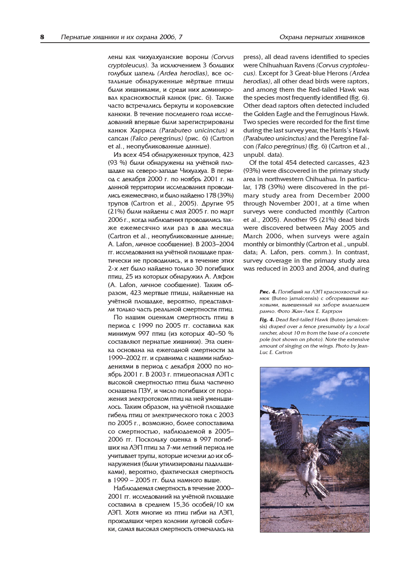лены как чихуахуанские вороны (Corvus cryptoleucus). За исключением 3 больших голубых цапель (Ardea herodias), все остальные обнаруженные мёртвые птицы были хищниками, и среди них доминировал краснохвостый канюк (рис. 6). Также часто встречались беркуты и королевские канюки. В течение последнего года исследований впервые были зарегистрированы канюк Харриса (Parabuteo unicinctus) и сапсан (Falco peregrinus) (рис. 6) (Cartron et al., неопубликованные данные).

Из всех 454 обнаруженных трупов, 423 (93 %) были обнаружены на учётной площадке на северо-западе Чихуахуа. В период с декабря 2000 г. по ноябрь 2001 г. на данной территории исследования проводились ежемесячно, и было найдено 178 (39%) трупов (Cartron et al., 2005). Другие 95 (21%) были найдены с мая 2005 г. по март 2006 г., когда наблюдения проводились также ежемесячно или раз в два месяца (Cartron et al., неопубликованные данные; A. Lafon, личное сообщение). В 2003–2004 гг. исследования на учётной площадке практически не проводились, и в течение этих 2-х лет было найдено только 30 погибших птиц, 25 из которых обнаружил А. Ляфон (A. Lafon, личное сообщение). Таким образом, 423 мертвые птицы, найденные на учётной площадке, вероятно, представляли только часть реальной смертности птиц.

По нашим оценкам смертность птиц в период с 1999 по 2005 гг. составила как минимум 997 птиц (из которых 40–50 % составляют пернатые хищники). Эта оценка основана на ежегодной смертности за 1999–2002 гг. и сравнима с нашими наблюдениями в период с декабря 2000 по ноябрь 2001 г. В 2003 г. птицеопасная АЭП с высокой смертностью птиц была частично оснащена ПЗУ, и число погибших от поражения электротоком птиц на ней уменьшилось. Таким образом, на учётной площадке гибель птиц от электрического тока с 2003 по 2005 г., возможно, более сопоставима со смертностью, наблюдаемой в 2005– 2006 гг. Поскольку оценка в 997 погибших на ЛЭП птиц за 7-ми летний период не учитывает трупы, которые исчезли до их обнаружения (были утилизированы падальщиками), вероятно, фактическая смертность в 1999 – 2005 гг. была намного выше.

Наблюдаемая смертность в течение 2000– 2001 гг. исследований на учётной площадке составила в среднем 15,36 особей/10 км ЛЭП. Хотя многие из птиц гибли на ЛЭП, проходящих через колонии луговой собачки, самая высокая смертность отмечалась на

press), all dead ravens identified to species were Chihuahuan Ravens (Corvus cryptoleucus). Except for 3 Great-blue Herons (Ardea herodias), all other dead birds were raptors, and among them the Red-tailed Hawk was the species most frequently identified (fig. 6). Other dead raptors often detected included the Golden Eagle and the Ferruginous Hawk. Two species were recorded for the first time during the last survey year, the Harris's Hawk (Parabuteo unicinctus) and the Peregrine Falcon (Falco peregrinus) (fig. 6) (Cartron et al., unpubl. data).

Of the total 454 detected carcasses, 423 (93%) were discovered in the primary study area in northwestern Chihuahua. In particular, 178 (39%) were discovered in the primary study area from December 2000 through November 2001, at a time when surveys were conducted monthly (Cartron et al., 2005). Another 95 (21%) dead birds were discovered between May 2005 and March 2006, when surveys were again monthly or bimonthly (Cartron et al., unpubl. data; A. Lafon, pers. comm.). In contrast, survey coverage in the primary study area was reduced in 2003 and 2004, and during

> Рис. 4. Погибший на ЛЭП краснохвостый канюк (Buteo jamaicensis) с обгоревшими маховыми, вывешенный на заборе владельцем ранчо. Фото Жан-Люк Е. Картрон

> Fig. 4. Dead Red-tailed Hawk (Buteo jamaicensis) draped over a fence presumably by a local rancher, about 10 m from the base of a concrete pole (not shown on photo). Note the extensive amount of singing on the wings. Photo by Jean-Luc E. Cartron

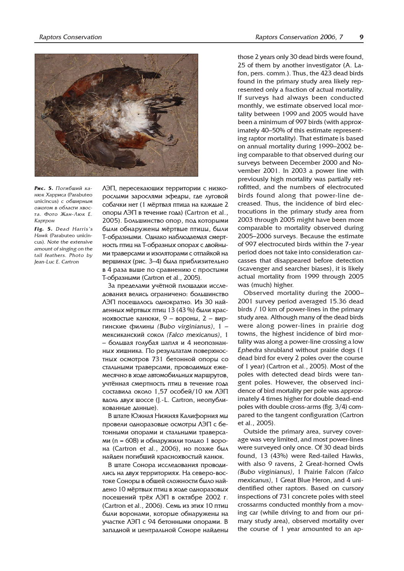

Рис. 5. Погибший каню К*Харриса* (Parabuteo unicincus) с обширным ожогом в области хвоста. Фото Жан-Люк Е. Картрон

Fig. 5. Dead Harris's Hawk (Parabuteo unicincus). Note the extensive amount of singing on the tail feathers. Photo by Jean-Luc E. Cartron

ЛЭП, пересекающих территории с низкорослыми зарослями эфедры, где луговой собачки нет (1 мёртвая птица на каждые 2 опоры  $\overline{AJ}$  в течение года) (Cartron et al., 2005). Большинство опор, под которыми были обнаружены мёртвые птицы, были Т-образными. Однако наблюдаемая смертность птиц на Т-образных опорах с двойными траверсами и изоляторами с отпайкой на вершинах (рис. 3–4) была приблизительно в 4 раза выше по сравнению с простыми Т-образными (Cartron et al., 2005).

За пределами учётной площадки исследования велись ограничено: большинство ЛЭП посещалось однократно. Из 30 найденных мёртвых птиц 13 (43 %) были краснохвостые канюки, 9 – вороны, 2 – виргинские филины (Bubo virginianus),  $1$ мексиканский сокол (Falco mexicanus), 1 – большая голубая цапля и 4 неопознанных хищника. По результатам поверхностных осмотров 731 бетонной опоры со стальными траверсами, проводимых ежемесячно в ходе автомобильных маршрутов, учтённая смертность птиц в течение года составила около 1,57 особей/10 км ЛЭП вдоль двух шоссе (J.-L. Cartron, неопубликованные данные).

В штате Южная Нижняя Калифорния мы провели одноразовые осмотры ЛЭП с бетонными опорами и стальными траверсами (n = 608) и обнаружили только 1 ворона (Cartron et al., 2006), но позже был найден погибший краснохвостый канюк.

В штате Сонора исследования проводились на двух территориях. На северо-востоке Соноры в общей сложности было найдено 10 мёртвых птиц в ходе одноразовых посещений трёх ЛЭП в октябре 2002 г. (Cartron et al., 2006). Семь из этих 10 птиц были воронами, которые обнаружены на участке ЛЭП с 94 бетонными опорами. В западной и центральной Соноре найдены

those 2 years only 30 dead birds were found, 25 of them by another investigator (A. Lafon, pers. comm.). Thus, the 423 dead birds found in the primary study area likely represented only a fraction of actual mortality. If surveys had always been conducted monthly, we estimate observed local mortality between 1999 and 2005 would have been a minimum of 997 birds (with approximately 40–50% of this estimate representing raptor mortality). That estimate is based on annual mortality during 1999–2002 being comparable to that observed during our surveys between December 2000 and November 2001. In 2003 a power line with previously high mortality was partially retrofitted, and the numbers of electrocuted birds found along that power-line decreased. Thus, the incidence of bird electrocutions in the primary study area from 2003 through 2005 might have been more comparable to mortality observed during 2005–2006 surveys. Because the estimate of 997 electrocuted birds within the 7-year period does not take into consideration carcasses that disappeared before detection (scavenger and searcher biases), it is likely actual mortality from 1999 through 2005 was (much) higher.

Observed mortality during the 2000– 2001 survey period averaged 15.36 dead birds / 10 km of power-lines in the primary study area. Although many of the dead birds were along power-lines in prairie dog towns, the highest incidence of bird mortality was along a power-line crossing a low Ephedra shrubland without prairie dogs (1 dead bird for every 2 poles over the course of 1 year) (Cartron et al., 2005). Most of the poles with detected dead birds were tangent poles. However, the observed incidence of bird mortality per pole was approximately 4 times higher for double dead-end poles with double cross-arms (fig. 3/4) compared to the tangent configuration (Cartron et al., 2005).

Outside the primary area, survey coverage was very limited, and most power-lines were surveyed only once. Of 30 dead birds found, 13 (43%) were Red-tailed Hawks, with also 9 ravens, 2 Great-horned Owls (Bubo virginianus), 1 Prairie Falcon (Falco mexicanus), 1 Great Blue Heron, and 4 unidentified other raptors. Based on cursory inspections of 731 concrete poles with steel crossarms conducted monthly from a moving car (while driving to and from our primary study area), observed mortality over the course of 1 year amounted to an ap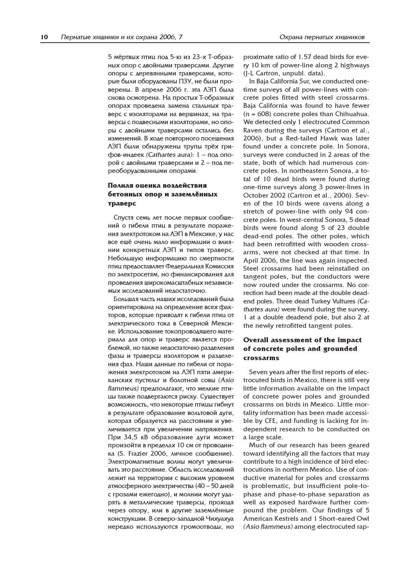5 мёртвых птиц под 5-ю из 23-х Т-образных опор с двойными траверсами. Другие опоры с деревянными траверсами, которые были оборудованы ПЗУ, не были проверены. В апреле 2006 г. эта ЛЭП была снова осмотрена. На простых Т-образных опорах проведена замена стальных траверс с изоляторами на вершинах, на траверсы с подвесными изоляторами, но опоры с двойными траверсами остались без изменений. В ходе повторного посещения ЛЭП были обнаружены трупы трёх грифов-индеек (Cathartes aura):  $1 - \text{no}$ д опорой с двойными траверсами и 2 – под переоборудованными опорами.

# Полная оценка воздействия бетонных опор и заземлённых траверс

Спустя семь лет после первых сообщений о гибели птиц в результате поражения электротоком на ЛЭП в Мексике, у нас все ещё очень мало информации о влиянии конкретных ЛЭП и типов траверс. Небольшую информацию по смертности птиц предоставляет Федеральная Комиссия по электросетям, но финансирования для проведения широкомасштабных независи-МЫХ ИССЛЕДОВАНИЙ НЕДОСТАТОЧНО.

Большая часть наших исследований была ориентирована на определение всех факторов, которые приводят к гибели птиц от электрического тока в Северной Мексике. Использование токопроводящего материала для опор и траверс является проблемой, но также недостаточно разделения фазы и траверсы изолятором и разделения фаз. Наши данные по гибели от поражения электротоком на ЛЭП пяти американских пустельг и болотной совы (Asio  $flammeus$ ) предполагают. Что мелкие птицы также подвергаются риску. Существует возможность, что некоторые птицы гибнут в результате образование вольтовой дуги. которая образуется на расстоянии и увеличивается при увеличении напряжения. При 34,5 кВ образование дуги может произойти в пределах 10 см от проводника (S. Frazier 2006, личное сообщение). Электромагнитные волны могут увеличивать это расстояние. Область исследований лежит на территории с высоким уровнем атмосферного электричества (40 – 50 дней с грозами ежегодно), и молнии могут ударять в металлические траверсы, проходя через опору, или в другие заземлённые конструкции. В северо-западной Чихуахуа нередко используются громоотводы, но

proximate ratio of 1.57 dead birds for every 10 km of power-line along 2 highways (J-L Cartron, unpubl. data).

In Baja California Sur, we conducted onetime surveys of all power-lines with concrete poles fitted with steel crossarms. Baja California was found to have fewer (n = 608) concrete poles than Chihuahua. We detected only 1 electrocuted Common Raven during the surveys (Cartron et al., 2006), but a Red-tailed Hawk was later found under a concrete pole. In Sonora, surveys were conducted in 2 areas of the state, both of which had numerous concrete poles. In northeastern Sonora, a total of 10 dead birds were found during one-time surveys along 3 power-lines in October 2002 (Cartron et al., 2006). Seven of the 10 birds were ravens along a stretch of power-line with only 94 concrete poles. In west-central Sonora, 5 dead birds were found along 5 of 23 double dead-end poles. The other poles, which had been retrofitted with wooden crossarms, were not checked at that time. In April 2006, the line was again inspected. Steel crossarms had been reinstalled on tangent poles, but the conductors were now routed under the crossarms. No correction had been made at the double deadend poles. Three dead Turkey Vultures (Cathartes aura) were found during the survey, 1 at a double deadend pole, but also 2 at the newly retrofitted tangent poles.

# Overall assessment of the impact of concrete poles and grounded crossarms

Seven years after the first reports of electrocuted birds in Mexico, there is still very little information available on the impact of concrete power poles and grounded crossarms on birds in Mexico. Little mortality information has been made accessible by CFE, and funding is lacking for independent research to be conducted on a large scale.

Much of our research has been geared toward identifying all the factors that may contribute to a high incidence of bird electrocutions in northern Mexico. Use of conductive material for poles and crossarms is problematic, but insufficient pole-tophase and phase-to-phase separation as well as exposed hardware further compound the problem. Our findings of 5 American Kestrels and 1 Short-eared Owl (Asio flammeus) among electrocuted rap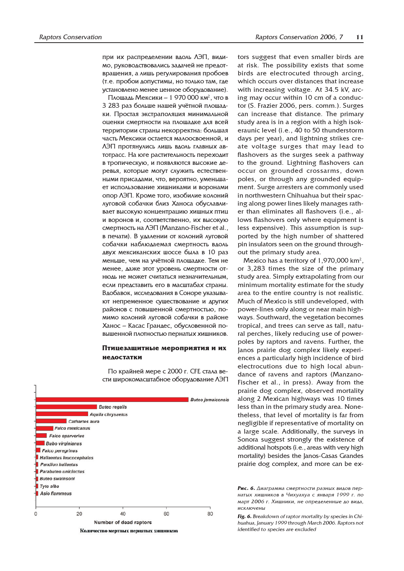при их распределении вдоль ЛЭП, видимо, руководствовались задачей не предотвращения, а лишь регулирования пробоев (т.е. пробои допустимы, но только там, где установлено менее ценное оборудование).

Площадь Мексики — 1 970 000 км<sup>2</sup>, что в 3 283 раз больше нашей учётной площадки. Простая экстраполяция минимальной оценки смертности на площадке для всей территории страны некорректна: большая часть Мексики остается малоосвоенной, и ЛЭП протянулись лишь вдоль главных автотрасс. На юге растительность переходит в тропическую, и появляются высокие деревья, которые могут служить естественными присадами, что, вероятно, уменьшает использование хищниками и воронами опор ЛЭП. Кроме того, изобилие колоний луговой собачки близ Ханоса обуславливает высокую концентрацию хищных птиц и воронов и, соответственно, их высокую смертность на ЛЭП (Manzano-Fischer et al., в печати). В удалении от колоний луговой собачки наблюдаемая смертность вдоль двух мексиканских шоссе была в 10 раз меньше, чем на учётной площадке. Тем не менее, даже этот уровень смертности отнюдь не может считаться незначительным, если представить его в масштабах страны. Вдобавок, исследования в Соноре указывают непременное существование и других районов с повышенной смертностью, помимо колоний луговой собачки в районе Ханос – Касас Грандес, обусловенной повышенной плотностью пернатых хищников.

# Птицезащитные мероприятия и их недостатки

По крайней мере с 2000 г. СГЕ стала вести широкомасштабное оборудование ЛЭП



tors suggest that even smaller birds are at risk. The possibility exists that some birds are electrocuted through arcing, which occurs over distances that increase with increasing voltage. At 34.5 kV, arcing may occur within 10 cm of a conductor (S. Frazier 2006, pers. comm.). Surges can increase that distance. The primary study area is in a region with a high isokeraunic level (i.e., 40 to 50 thunderstorm days per year), and lightning strikes create voltage surges that may lead to flashovers as the surges seek a pathway to the ground. Lightning flashovers can occur on grounded crossarms, down poles, or through any grounded equipment. Surge arresters are commonly used in northwestern Chihuahua but their spacing along power lines likely manages rather than eliminates all flashovers (i.e., allows flashovers only where equipment is less expensive). This assumption is supported by the high number of shattered pin insulators seen on the ground throughout the primary study area.

Mexico has a territory of 1,970,000 km<sup>2</sup>, or 3,283 times the size of the primary study area. Simply extrapolating from our minimum mortality estimate for the study area to the entire country is not realistic. Much of Mexico is still undeveloped, with power-lines only along or near main highways. Southward, the vegetation becomes tropical, and trees can serve as tall, natural perches, likely reducing use of powerpoles by raptors and ravens. Further, the Janos prairie dog complex likely experiences a particularly high incidence of bird electrocutions due to high local abundance of ravens and raptors (Manzano-Fischer et al., in press). Away from the prairie dog complex, observed mortality along 2 Mexican highways was 10 times less than in the primary study area. Nonetheless, that level of mortality is far from negligible if representative of mortality on a large scale. Additionally, the surveys in Sonora suggest strongly the existence of additional hotspots (i.e., areas with very high mortality) besides the Janos-Casas Grandes prairie dog complex, and more can be ex-

Рис. 6. Диаграмма смертности разных видов пернатых хишников в Чихуахуа с января 1999 г. по март 2006 г. Хищники, не определенные до вида, исключены

Fig. 6. Breakdown of raptor mortality by species in Chihuahua, January 1999 through March 2006. Raptors not identified to species are excluded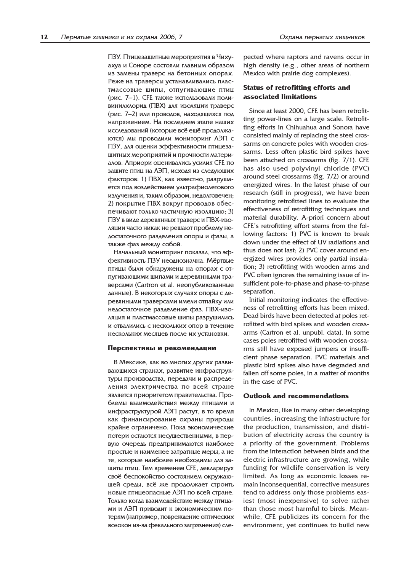ПЗУ. Птицезащитные мероприятия в Чихуахуа и Соноре состояли главным образом из замены траверс на бетонных опорах. Реже на траверсы устанавливались пластмассовые шипы, отпугивающие птиц (рис. 7–1). CFE также использовали поливинилхлорид (ПВХ) для изоляции траверс (рис. 7–2) или проводов, находящихся под напряжением. На последнем этапе наших исследований (которые всё ещё продолжаются) мы проводили мониторинг ЛЭП с ПЗУ, для оценки эффективности птицезашитных мероприятий и прочности материалов. Априори оценивались усилия CFE по защите птиц на ЛЭП, исходя из следующих факторов: 1) ПВХ, как известно, разрушается под воздействием ультрафиолетового излучения и, таким образом, недолговечен; 2) покрытие ПВХ вокруг проводов обеспечивают только частичную изоляцию; 3) ПЗУ в виде деревянных траверс и ПВХ-изоляции часто никак не решают проблему недостаточного разделения опоры и фазы, а

также фаз между собой. Начальный мониторинг показал, что эффективность ПЗУ неоднозначна. Мёртвые птицы были обнаружены на опорах с отпугивающими шипами и деревянными траверсами (Cartron et al. неопубликованные данные). В некоторых случаях опоры с деревянными траверсами имели отпайку или недостаточное разделение фаз. ПВХ-изоляция и пластмассовые шипы разрушились и отвалились с нескольких опор в течение нескольких месяцев после их установки.

#### Перспективы и рекомендации

В Мексике, как во многих других развивающихся странах, развитие инфраструктуры производства, передачи и распределения электричества по всей стране является приоритетом правительства. Проблемы взаимодействия между птицами и инфраструктурой ЛЭП растут, в то время как финансирование охраны природы крайне ограничено. Пока экономические потери остаются несущественными, в первую очередь предпринимаются наиболее простые и наименее затратные меры, а не те, которые наиболее необходимы для защиты птиц. Тем временем СГЕ, декларируя своё беспокойство состоянием окружающей среды, всё же продолжает строить новые птицеопасные ЛЭП по всей стране. Только когда взаимодействие между птицами и ЛЭП приводит к экономическим потерям (например, повреждение оптических волокон из-за фекального загрязнения) сле-

pected where raptors and ravens occur in high density (e.g., other areas of northern Mexico with prairie dog complexes).

# Status of retrofitting efforts and associated limitations

Since at least 2000, CFE has been retrofitting power-lines on a large scale. Retrofitting efforts in Chihuahua and Sonora have consisted mainly of replacing the steel crossarms on concrete poles with wooden crossarms. Less often plastic bird spikes have been attached on crossarms (fig. 7/1). CFE has also used polyvinyl chloride (PVC) around steel crossarms (fig. 7/2) or around energized wires. In the latest phase of our research (still in progress), we have been monitoring retrofitted lines to evaluate the effectiveness of retrofitting techniques and material durability. A-priori concern about CFE's retrofitting effort stems from the following factors: 1) PVC is known to break down under the effect of UV radiations and thus does not last; 2) PVC cover around energized wires provides only partial insulation; 3) retrofitting with wooden arms and PVC often ignores the remaining issue of insufficient pole-to-phase and phase-to-phase separation.

Initial monitoring indicates the effectiveness of retrofitting efforts has been mixed. Dead birds have been detected at poles retrofitted with bird spikes and wooden crossarms (Cartron et al. unpubl. data). In some cases poles retrofitted with wooden crossarms still have exposed jumpers or insufficient phase separation. PVC materials and plastic bird spikes also have degraded and fallen off some poles, in a matter of months in the case of PVC.

#### Outlook and recommendations

In Mexico, like in many other developing countries, increasing the infrastructure for the production, transmission, and distribution of electricity across the country is a priority of the government. Problems from the interaction between birds and the electric infrastructure are growing, while funding for wildlife conservation is very limited. As long as economic losses remain inconsequential, corrective measures tend to address only those problems easiest (most inexpensive) to solve rather than those most harmful to birds. Meanwhile, CFE publicizes its concern for the environment, yet continues to build new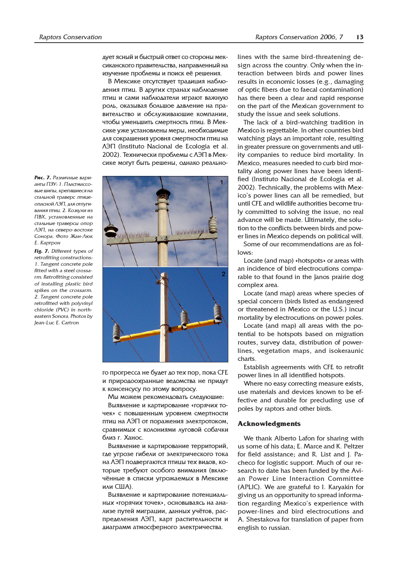дует ясный и быстрый ответ со стороны мексиканского правительства, направленный на изучение проблемы и поиск её решения.

В Мексике отсутствует традиция наблюдения птиц. В других странах наблюдение птиц и сами наблюдатели играют важную роль, оказывая большое давление на правительство и обслуживающие компании, чтобы уменьшить смертность птиц. В Мексике уже установлены меры, необходимые аля сокращения уровня смертности птиц на  $\Lambda$  $\partial\Pi$  (Instituto Nacional de Ecologia et al. 2002). Технически проблемы с ЛЭП в Мексике могут быть решены, однако реально-

Puc. 7. Passuguide Bableанты ПЗУ: 1. Пластмассовые шипы, крепяшиеся на стальной траверс птицеопасной ЛЭП, для отпугивания птиц. 2. Кожухи из ПВХ, установленные на стальные траверсы опор ЛЭП, на северо-востоке Сонора. Фото Жан-Люк **E.** Картрон

Fig. 7. Different types of retrofitting constructions: 1. Tangent concrete pole fitted with a steel crossarm. Retrofitting consisted of installing plastic bird spikes on the crossarm. 2. Tangent concrete pole retrofitted with polyvinyl chloride (PVC) in northeastern Sonora. Photos by Jean-Luc E. Cartron



го прогресса не будет до тех пор, пока CFE и природоохранные ведомства не придут к консенсусу по этому вопросу.

Мы можем рекомендовать следующие:

Выявление и картирование «горячих точек» с повышенным уровнем смертности птиц на ЛЭП от поражения электротоком, сравнимых с колониями луговой собачки близ г. Ханос.

Выявление и картирование территорий, где угрозе гибели от электрического тока на ЛЭП подвергаются птицы тех видов, которые требуют особого внимания (включённые в списки угрожаемых в Мексике или США).

Выявление и картирование потенциальных «горячих точек», основываясь на анализе путей миграции, данных учётов, распределения ЛЭП, карт растительности и аиаграмм атмосферного электричества.

lines with the same bird-threatening design across the country. Only when the interaction between birds and power lines results in economic losses (e.g., damaging of optic fibers due to faecal contamination) has there been a clear and rapid response on the part of the Mexican government to study the issue and seek solutions.

The lack of a bird-watching tradition in Mexico is regrettable. In other countries bird watching plays an important role, resulting in greater pressure on governments and utility companies to reduce bird mortality. In Mexico, measures needed to curb bird mortality along power lines have been identified (Instituto Nacional de Ecologia et al. 2002). Technically, the problems with Mexico's power lines can all be remedied, but until CFE and wildlife authorities become truly committed to solving the issue, no real advance will be made. Ultimately, the solution to the conflicts between birds and power lines in Mexico depends on political will.

Some of our recommendations are as follows:

Locate (and map) «hotspots» or areas with an incidence of bird electrocutions comparable to that found in the Janos prairie dog complex area.

Locate (and map) areas where species of special concern (birds listed as endangered or threatened in Mexico or the U.S.) incur mortality by electrocutions on power poles.

Locate (and map) all areas with the potential to be hotspots based on migration routes, survey data, distribution of powerlines, vegetation maps, and isokeraunic charts.

Establish agreements with CFE to retrofit power lines in all identified hotspots.

Where no easy correcting measure exists, use materials and devices known to be effective and durable for precluding use of poles by raptors and other birds.

#### Acknowledgments

We thank Alberto Lafon for sharing with us some of his data; E. Marce and K. Peltzer for field assistance; and R. List and J. Pacheco for logistic support. Much of our research to date has been funded by the Avian Power Line Interaction Committee (APLIC). We are grateful to I. Karyakin for giving us an opportunity to spread information regarding Mexico's experience with power-lines and bird electrocutions and A. Shestakova for translation of paper from english to russian.